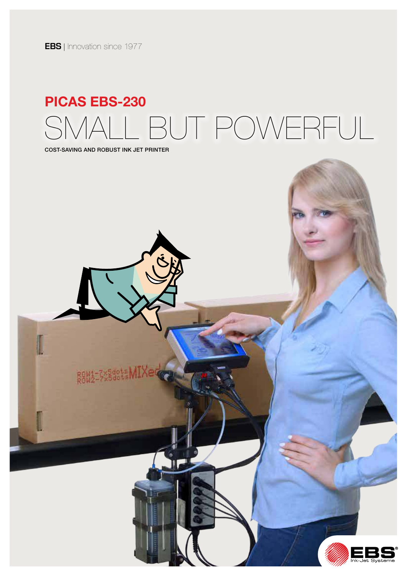**EBS** | Innovation since 1977

# SMALL BUT POWERFUL SMALL BUT POWERFULPICAS EBS-230 PICAS EBS-230

COST SAVING AND ROBUST INK JET PRINTER COST-SAVING AND ROBUST INK JET PRINTER

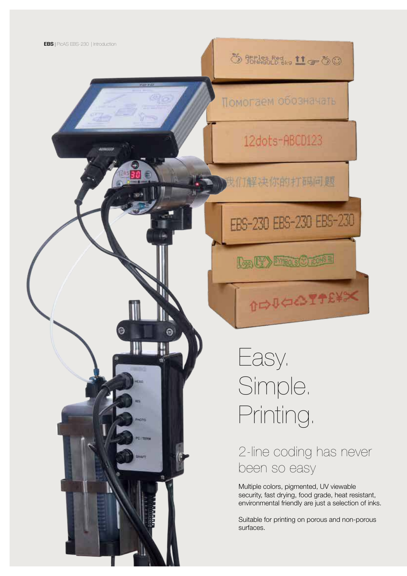**ひ 部構設品 11g-60** 

Помогаем обозначать

12dots-ABCD123

**SOO**我们解决你的打码问题

## EBS-230 EBS-230 EBS-230

Log (V) Mens(C) rows

**DIAGOTTEXX** 

Easy. Simple. Printing.

 $\Omega$ 

2-line coding has never been so easy

Multiple colors, pigmented, UV viewable security, fast drying, food grade, heat resistant, environmental friendly are just a selection of inks.

Suitable for printing on porous and non-porous surfaces.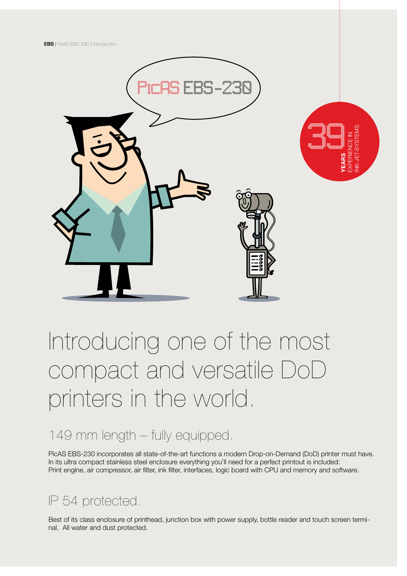

YEARS EXPERIENCE IN INK-JET-SYSTEMS 39

# Introducing one of the most compact and versatile DoD printers in the world.

## 149 mm length – fully equipped.

PicAS EBS-230 incorporates all state-of-the-art functions a modern Drop-on-Demand (DoD) printer must have. In its ultra compact stainless steel enclosure everything you'll need for a perfect printout is included: Print engine, air compressor, air filter, ink filter, interfaces, logic board with CPU and memory and software.

## IP 54 protected.

Best of its class enclosure of printhead, junction box with power supply, bottle reader and touch screen terminal. All water and dust protected.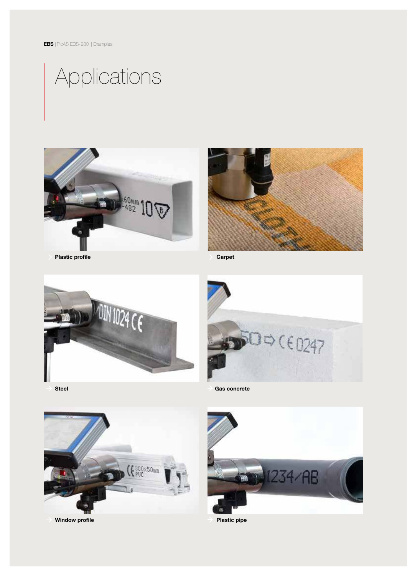# Applications



Plastic profile



Carpet



10(60247 Gas concrete

Steel



Window profile



Plastic pipe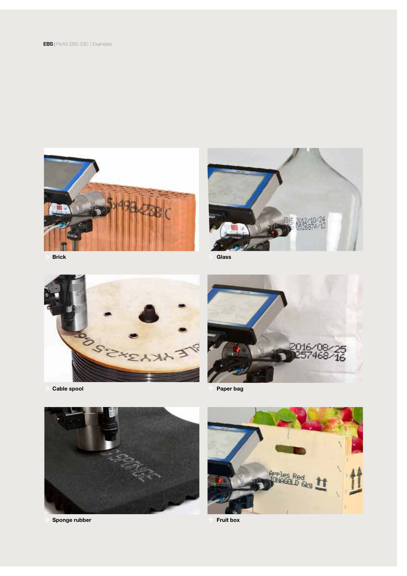

Brick



Cable spool



**Glass** 



Paper bag



Sponge rubber



Fruit box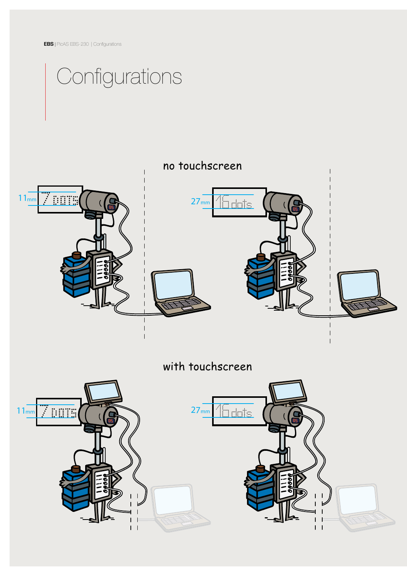EBS | PicAS EBS-230 | Configurations

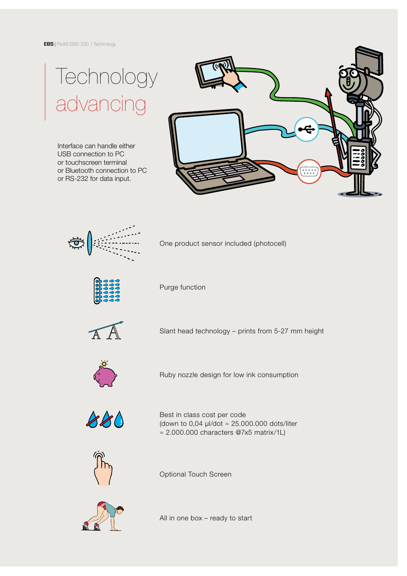# **Technology** advancing

Interface can handle either USB connection to PC or touchscreen terminal or Bluetooth connection to PC or RS-232 for data input.





One product sensor included (photocell)



Purge function



Slant head technology – prints from 5-27 mm height



Ruby nozzle design for low ink consumption



Best in class cost per code (down to 0,04  $\mu$ I/dot  $\approx$  25.000.000 dots/liter ≈ 2.000.000 characters @7x5 matrix/1L)



Optional Touch Screen



All in one box – ready to start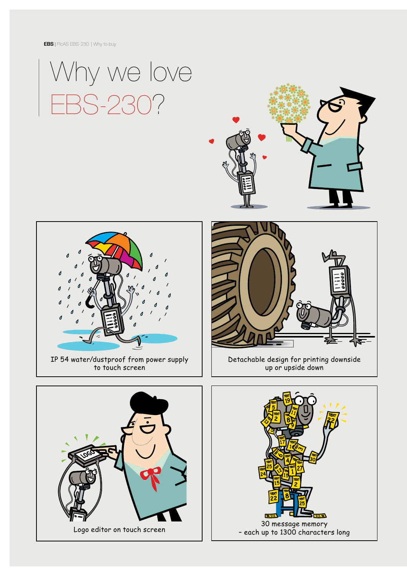EBS | PicAS EBS-230 | Why to buy









Detachable design for printing downside up or upside down



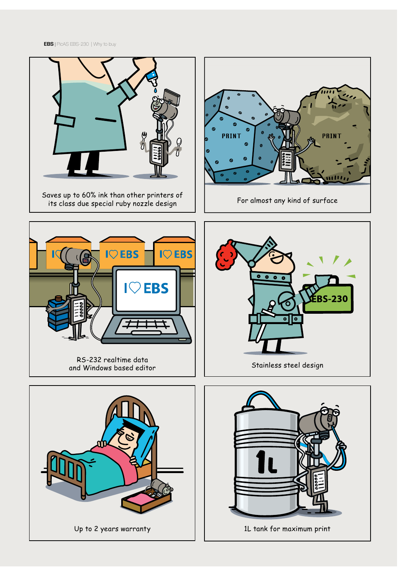EBS | PicAS EBS-230 | Why to buy

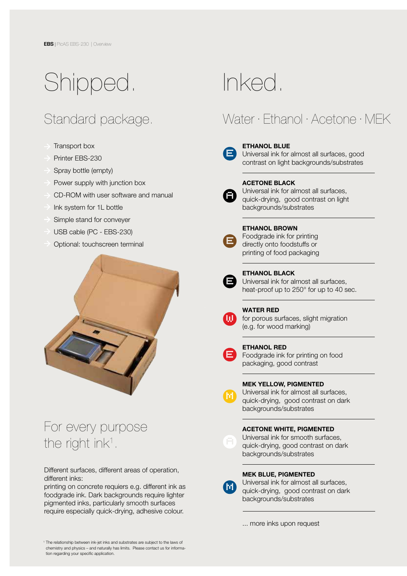# Shipped.

## Standard package.

- Transport box
- Printer EBS-230
- Spray bottle (empty)
- Power supply with junction box
- CD-ROM with user software and manual
- Ink system for 1L bottle
- Simple stand for conveyer
- USB cable (PC EBS-230)
- Optional: touchscreen terminal



## For every purpose the right ink<sup>1</sup>.

Different surfaces, different areas of operation, different inks:

printing on concrete requiers e.g. different ink as foodgrade ink. Dark backgrounds require lighter pigmented inks, particularly smooth surfaces require especially quick-drying, adhesive colour.

# Inked.

## Water · Ethanol · Acetone · MEK



### ETHANOL BLUE

Universal ink for almost all surfaces, good contrast on light backgrounds/substrates



#### ACETONE BLACK

Universal ink for almost all surfaces, quick-drying, good contrast on light backgrounds/substrates



#### ETHANOL BROWN Foodgrade ink for printing directly onto foodstuffs or printing of food packaging



 ETHANOL BLACK Universal ink for almost all surfaces, heat-proof up to 250° for up to 40 sec.

l,



### WATER RED

for porous surfaces, slight migration (e.g. for wood marking)



**M**

### ETHANOL RED

Foodgrade ink for printing on food packaging, good contrast

### MEK YELLOW, PIGMENTED

Universal ink for almost all surfaces, quick-drying, good contrast on dark backgrounds/substrates



### ACETONE WHITE, PIGMENTED

Universal ink for smooth surfaces, quick-drying, good contrast on dark backgrounds/substrates

## **M**

### MEK BLUE, PIGMENTED

Universal ink for almost all surfaces, quick-drying, good contrast on dark backgrounds/substrates

... more inks upon request

1 The relationship between ink-jet inks and substrates are subject to the laws of chemistry and physics – and naturally has limits. Please contact us for information regarding your specific application.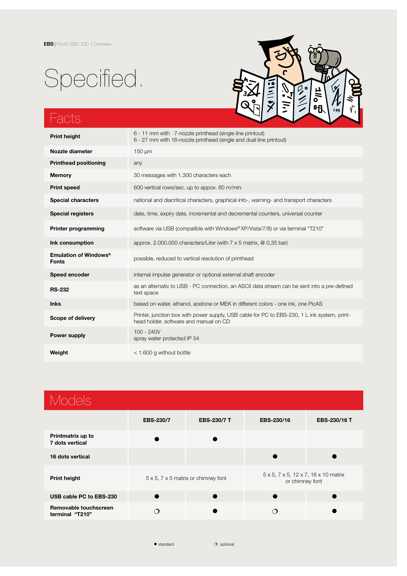# Specified.



## Facts

| <b>Print height</b>                               | 6 - 11 mm with 7-nozzle printhead (single line printout)<br>6 - 27 mm with 16-nozzle printhead (single and dual line printout)         |  |  |  |
|---------------------------------------------------|----------------------------------------------------------------------------------------------------------------------------------------|--|--|--|
| Nozzle diameter                                   | 150 um                                                                                                                                 |  |  |  |
| <b>Printhead positioning</b>                      | any                                                                                                                                    |  |  |  |
| <b>Memory</b>                                     | 30 messages with 1.300 characters each                                                                                                 |  |  |  |
| <b>Print speed</b>                                | 600 vertical rows/sec. up to appox. 60 m/min.                                                                                          |  |  |  |
| <b>Special characters</b>                         | national and diacritical characters, graphical info-, warning- and transport characters                                                |  |  |  |
| <b>Special registers</b>                          | date, time, expiry date, incremental and decremental counters, universal counter                                                       |  |  |  |
| <b>Printer programming</b>                        | software via USB (compatible with Windows® XP/Vista/7/8) or via terminal "T210"                                                        |  |  |  |
| Ink consumption                                   | approx. 2.000.000 characters/Liter (with $7 \times 5$ matrix, $\omega$ 0,35 bar)                                                       |  |  |  |
| Emulation of Windows <sup>®</sup><br><b>Fonts</b> | possible, reduced to vertical resolution of printhead                                                                                  |  |  |  |
| Speed encoder                                     | internal impulse generator or optional external shaft encoder                                                                          |  |  |  |
| <b>RS-232</b>                                     | as an alternativ to USB - PC connection, an ASCII data stream can be sent into a pre-defined<br>text space                             |  |  |  |
| <b>Inks</b>                                       | based on water, ethanol, acetone or MEK in different colors - one ink, one PicAS                                                       |  |  |  |
| Scope of delivery                                 | Printer, junction box with power supply, USB cable for PC to EBS-230, 1 L ink system, print-<br>head holder, software and manual on CD |  |  |  |
| Power supply                                      | $100 - 240V$<br>spray water protected IP 54                                                                                            |  |  |  |
| Weight                                            | $<$ 1.600 g without bottle                                                                                                             |  |  |  |

| <b>Models</b>                            |                                                    |                    |                                                         |              |  |  |
|------------------------------------------|----------------------------------------------------|--------------------|---------------------------------------------------------|--------------|--|--|
|                                          | <b>EBS-230/7</b>                                   | <b>EBS-230/7 T</b> | EBS-230/16                                              | EBS-230/16 T |  |  |
| Printmatrix up to<br>7 dots vertical     |                                                    |                    |                                                         |              |  |  |
| 16 dots vertical                         |                                                    |                    |                                                         |              |  |  |
| <b>Print height</b>                      | $5 \times 5$ , $7 \times 5$ matrix or chimney font |                    | 5 x 5, 7 x 5, 12 x 7, 16 x 10 matrix<br>or chimney font |              |  |  |
| USB cable PC to EBS-230                  |                                                    |                    |                                                         |              |  |  |
| Removable touchscreen<br>terminal "T210" | ◯                                                  |                    | ∩                                                       |              |  |  |
|                                          |                                                    |                    |                                                         |              |  |  |

• standard **o** optional